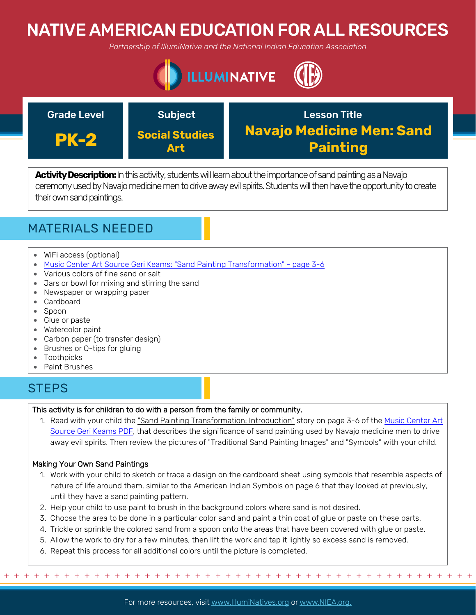# NATIVE AMERICAN EDUCATION FOR ALL RESOURCES

*Partnership of IllumiNative and the National Indian Education Association*





Activity Description: In this activity, students will learn about the importance of sand painting as a Navajo ceremony used by Navajo medicine men to drive away evil spirits. Students will then have the opportunity to create their own sand paintings.

## MATERIALS NEEDED

- WiFi access (optional)
- [Music Center Art Source Geri Keams: "Sand Painting Transformation" page 3-6](https://sharemylesson.com/teaching-resource/geri-keams-native-american-storyteller-264859)
- Various colors of fine sand or salt
- Jars or bowl for mixing and stirring the sand
- Newspaper or wrapping paper
- Cardboard
- Spoon
- Glue or paste
- Watercolor paint
- Carbon paper (to transfer design)
- Brushes or Q-tips for gluing
- Toothpicks
- Paint Brushes

### **STEPS**

#### This activity is for children to do with a person from the family or community.

1. [Read with your child the "Sand Painting Transformation: Introduction" story on page 3-6 of the Music Center Art](https://sharemylesson.com/teaching-resource/geri-keams-native-american-storyteller-264859)  Source Geri Keams PDF, that describes the significance of sand painting used by Navajo medicine men to drive away evil spirits. Then review the pictures of "Traditional Sand Painting Images" and "Symbols" with your child.

### Making Your Own Sand Paintings

- 1. Work with your child to sketch or trace a design on the cardboard sheet using symbols that resemble aspects of nature of life around them, similar to the American Indian Symbols on page 6 that they looked at previously, until they have a sand painting pattern.
- 2. Help your child to use paint to brush in the background colors where sand is not desired.
- 3. Choose the area to be done in a particular color sand and paint a thin coat of glue or paste on these parts.
- 4. Trickle or sprinkle the colored sand from a spoon onto the areas that have been covered with glue or paste.
- 5. Allow the work to dry for a few minutes, then lift the work and tap it lightly so excess sand is removed.
- 6. Repeat this process for all additional colors until the picture is completed.

For more resources, visit www.lllumiNatives.org or www.NIEA.org.

+ + + + + + + + + + + + + + + + + + + + + + + + + + + + + + + + + + + + + + + + + + + + + + + +